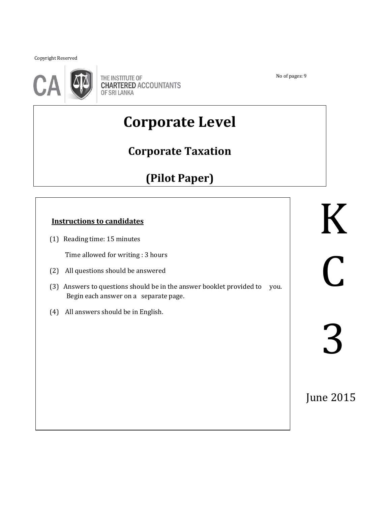Copyright Reserved

ֺֺ



THE INSTITUTE OF **CHARTERED ACCOUNTANTS OF SRI LANKA** 

# **Corporate Level**

## **Corporate Taxation**

## **(Pilot Paper)**

### **Instructions to candidates**

(1) Reading time: 15 minutes

Time allowed for writing : 3 hours

- (2) All questions should be answered
- (3) Answers to questions should be in the answer booklet provided to you. Begin each answer on a separate page.

֖֖֖֖֖֖֖֖֪ׅ֖֖֖֪ׅ֖֖֖֪֪֪֦֖֧֪֪֪֪֪֪֦֖֧ׅ֧֖֧ׅ֧ׅ֖֧֪֪֪֧֖֧֚֚֚֚֚֚֚֚֚֚֚֚֚֚֚֚֚֬֝֝֝֝֝֝֝֬֝֬֞֝֬֝֝֬

(4) All answers should be in English.

 $\begin{array}{c} \textbf{Instructions to candidates} \\\\ \textbf{(1)} \ \ \text{Reading time: 15 minutes} \end{array}$ C 3

June 2015

No of pages: 9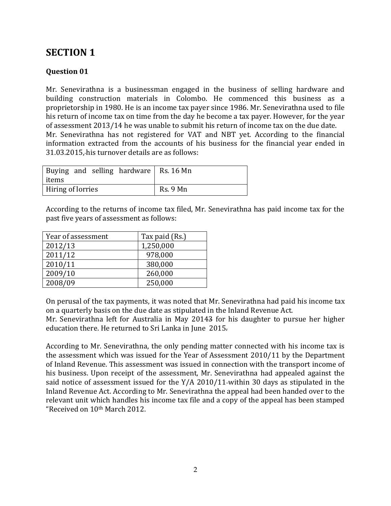## **SECTION 1**

#### **Question 01**

Mr. Senevirathna is a businessman engaged in the business of selling hardware and building construction materials in Colombo. He commenced this business as a proprietorship in 1980. He is an income tax payer since 1986. Mr. Senevirathna used to file his return of income tax on time from the day he become a tax payer. However, for the year of assessment 2013/14 he was unable to submit his return of income tax on the due date. Mr. Senevirathna has not registered for VAT and NBT yet. According to the financial information extracted from the accounts of his business for the financial year ended in 31.03.2015, his turnover details are as follows:

| Buying and selling hardware   Rs. 16 Mn<br>items |          |
|--------------------------------------------------|----------|
| Hiring of lorries                                | Rs. 9 Mn |

According to the returns of income tax filed, Mr. Senevirathna has paid income tax for the past five years of assessment as follows:

| Year of assessment | Tax paid (Rs.) |
|--------------------|----------------|
| 2012/13            | 1,250,000      |
| 2011/12            | 978,000        |
| 2010/11            | 380,000        |
| 2009/10            | 260,000        |
| 2008/09            | 250,000        |

On perusal of the tax payments, it was noted that Mr. Senevirathna had paid his income tax on a quarterly basis on the due date as stipulated in the Inland Revenue Act.

Mr. Senevirathna left for Australia in May 20143 for his daughter to pursue her higher education there. He returned to Sri Lanka in June 2015.

According to Mr. Senevirathna, the only pending matter connected with his income tax is the assessment which was issued for the Year of Assessment 2010/11 by the Department of Inland Revenue. This assessment was issued in connection with the transport income of his business. Upon receipt of the assessment, Mr. Senevirathna had appealed against the said notice of assessment issued for the Y/A 2010/11-within 30 days as stipulated in the Inland Revenue Act. According to Mr. Senevirathna the appeal had been handed over to the relevant unit which handles his income tax file and a copy of the appeal has been stamped "Received on 10th March 2012.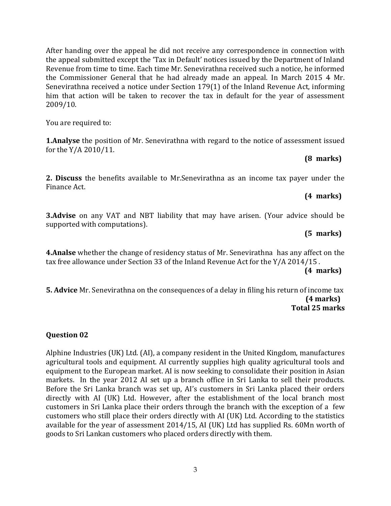After handing over the appeal he did not receive any correspondence in connection with the appeal submitted except the 'Tax in Default' notices issued by the Department of Inland Revenue from time to time. Each time Mr. Senevirathna received such a notice, he informed the Commissioner General that he had already made an appeal. In March 2015 4 Mr. Senevirathna received a notice under Section 179(1) of the Inland Revenue Act, informing him that action will be taken to recover the tax in default for the year of assessment 2009/10.

You are required to:

**1.Analyse** the position of Mr. Senevirathna with regard to the notice of assessment issued for the Y/A 2010/11.

#### **(8 marks)**

**2. Discuss** the benefits available to Mr.Senevirathna as an income tax payer under the Finance Act.

#### **(4 marks)**

**3.Advise** on any VAT and NBT liability that may have arisen. (Your advice should be supported with computations).

#### **(5 marks)**

**4.Analse** whether the change of residency status of Mr. Senevirathna has any affect on the tax free allowance under Section 33 of the Inland Revenue Act for the Y/A 2014/15 . **(4 marks)**

**5. Advice** Mr. Senevirathna on the consequences of a delay in filing his return of income tax  **(4 marks)** 

### **Total 25 marks**

#### **Question 02**

Alphine Industries (UK) Ltd. (AI), a company resident in the United Kingdom, manufactures agricultural tools and equipment. AI currently supplies high quality agricultural tools and equipment to the European market. AI is now seeking to consolidate their position in Asian markets. In the year 2012 AI set up a branch office in Sri Lanka to sell their products. Before the Sri Lanka branch was set up, AI's customers in Sri Lanka placed their orders directly with AI (UK) Ltd. However, after the establishment of the local branch most customers in Sri Lanka place their orders through the branch with the exception of a few customers who still place their orders directly with AI (UK) Ltd. According to the statistics available for the year of assessment 2014/15, AI (UK) Ltd has supplied Rs. 60Mn worth of goods to Sri Lankan customers who placed orders directly with them.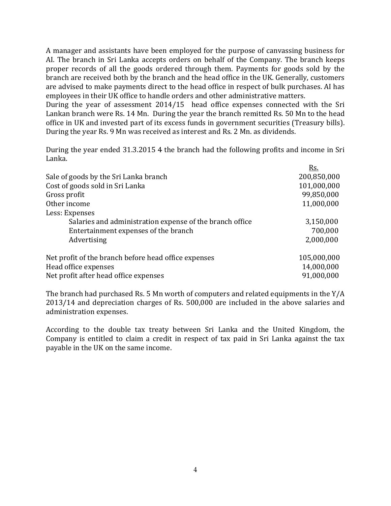A manager and assistants have been employed for the purpose of canvassing business for AI. The branch in Sri Lanka accepts orders on behalf of the Company. The branch keeps proper records of all the goods ordered through them. Payments for goods sold by the branch are received both by the branch and the head office in the UK. Generally, customers are advised to make payments direct to the head office in respect of bulk purchases. AI has employees in their UK office to handle orders and other administrative matters.

During the year of assessment 2014/15 head office expenses connected with the Sri Lankan branch were Rs. 14 Mn. During the year the branch remitted Rs. 50 Mn to the head office in UK and invested part of its excess funds in government securities (Treasury bills). During the year Rs. 9 Mn was received as interest and Rs. 2 Mn. as dividends.

During the year ended 31.3.2015 4 the branch had the following profits and income in Sri Lanka.

|                                                          | <u>Rs.</u>  |
|----------------------------------------------------------|-------------|
| Sale of goods by the Sri Lanka branch                    | 200,850,000 |
| Cost of goods sold in Sri Lanka                          | 101,000,000 |
| Gross profit                                             | 99,850,000  |
| Other income                                             | 11,000,000  |
| Less: Expenses                                           |             |
| Salaries and administration expense of the branch office | 3,150,000   |
| Entertainment expenses of the branch                     | 700,000     |
| Advertising                                              | 2,000,000   |
| Net profit of the branch before head office expenses     | 105,000,000 |
| Head office expenses                                     | 14,000,000  |
| Net profit after head office expenses                    | 91,000,000  |

The branch had purchased Rs. 5 Mn worth of computers and related equipments in the Y/A 2013/14 and depreciation charges of Rs. 500,000 are included in the above salaries and administration expenses.

According to the double tax treaty between Sri Lanka and the United Kingdom, the Company is entitled to claim a credit in respect of tax paid in Sri Lanka against the tax payable in the UK on the same income.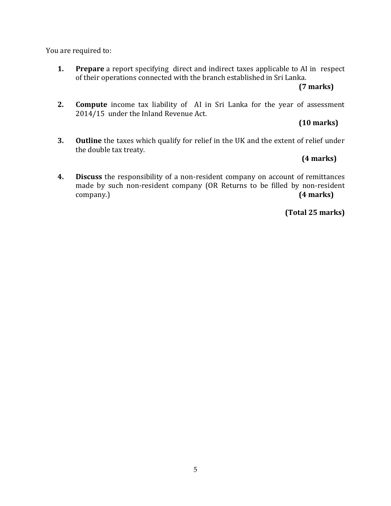You are required to:

**1. Prepare** a report specifying direct and indirect taxes applicable to AI in respect of their operations connected with the branch established in Sri Lanka.

**(7 marks)**

**2. Compute** income tax liability of AI in Sri Lanka for the year of assessment 2014/15 under the Inland Revenue Act.

**(10 marks)**

**3. Outline** the taxes which qualify for relief in the UK and the extent of relief under the double tax treaty.

#### **(4 marks)**

**4. Discuss** the responsibility of a non-resident company on account of remittances made by such non-resident company (OR Returns to be filled by non-resident company.) **(4 marks)**

**(Total 25 marks)**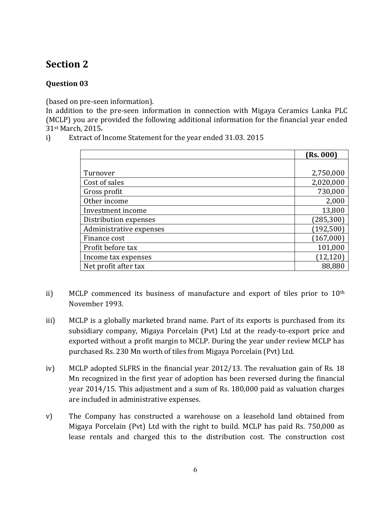## **Section 2**

#### **Question 03**

(based on pre-seen information).

In addition to the pre-seen information in connection with Migaya Ceramics Lanka PLC (MCLP) you are provided the following additional information for the financial year ended 31st March, 2015.

i) Extract of Income Statement for the year ended 31.03. 2015

|                         | (Rs. 000)  |
|-------------------------|------------|
|                         |            |
| Turnover                | 2,750,000  |
| Cost of sales           | 2,020,000  |
| Gross profit            | 730,000    |
| Other income            | 2,000      |
| Investment income       | 13,800     |
| Distribution expenses   | (285, 300) |
| Administrative expenses | (192, 500) |
| Finance cost            | (167,000)  |
| Profit before tax       | 101,000    |
| Income tax expenses     | (12, 120)  |
| Net profit after tax    | 88,880     |

- ii) MCLP commenced its business of manufacture and export of tiles prior to 10<sup>th</sup> November 1993.
- iii) MCLP is a globally marketed brand name. Part of its exports is purchased from its subsidiary company, Migaya Porcelain (Pvt) Ltd at the ready-to-export price and exported without a profit margin to MCLP. During the year under review MCLP has purchased Rs. 230 Mn worth of tiles from Migaya Porcelain (Pvt) Ltd.
- iv) MCLP adopted SLFRS in the financial year 2012/13. The revaluation gain of Rs. 18 Mn recognized in the first year of adoption has been reversed during the financial year 2014/15. This adjustment and a sum of Rs. 180,000 paid as valuation charges are included in administrative expenses.
- v) The Company has constructed a warehouse on a leasehold land obtained from Migaya Porcelain (Pvt) Ltd with the right to build. MCLP has paid Rs. 750,000 as lease rentals and charged this to the distribution cost. The construction cost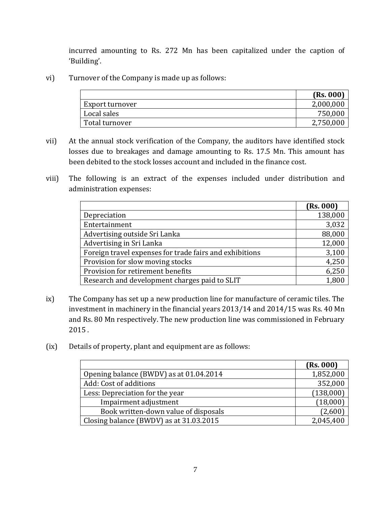incurred amounting to Rs. 272 Mn has been capitalized under the caption of 'Building'.

vi) Turnover of the Company is made up as follows:

|                 | (Rs. 000)           |
|-----------------|---------------------|
| Export turnover | 2,000,000           |
| Local sales     | 750,00 <sub>U</sub> |
| Total turnover  | 2,750,000           |

- vii) At the annual stock verification of the Company, the auditors have identified stock losses due to breakages and damage amounting to Rs. 17.5 Mn. This amount has been debited to the stock losses account and included in the finance cost.
- viii) The following is an extract of the expenses included under distribution and administration expenses:

|                                                         | (Rs. 000) |
|---------------------------------------------------------|-----------|
| Depreciation                                            | 138,000   |
| Entertainment                                           | 3,032     |
| Advertising outside Sri Lanka                           | 88,000    |
| Advertising in Sri Lanka                                | 12,000    |
| Foreign travel expenses for trade fairs and exhibitions | 3,100     |
| Provision for slow moving stocks                        | 4,250     |
| Provision for retirement benefits                       | 6,250     |
| Research and development charges paid to SLIT           | 1,800     |

- ix) The Company has set up a new production line for manufacture of ceramic tiles. The investment in machinery in the financial years 2013/14 and 2014/15 was Rs. 40 Mn and Rs. 80 Mn respectively. The new production line was commissioned in February 2015 .
- (ix) Details of property, plant and equipment are as follows:

|                                         | (Rs. 000) |
|-----------------------------------------|-----------|
| Opening balance (BWDV) as at 01.04.2014 | 1,852,000 |
| Add: Cost of additions                  | 352,000   |
| Less: Depreciation for the year         | (138,000) |
| Impairment adjustment                   | (18,000)  |
| Book written-down value of disposals    | (2,600)   |
| Closing balance (BWDV) as at 31.03.2015 | 2,045,400 |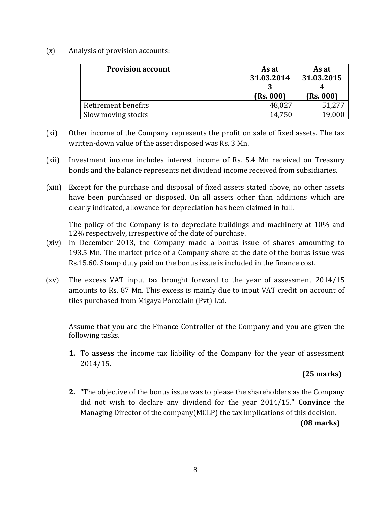(x) Analysis of provision accounts:

| <b>Provision account</b> | As at<br>31.03.2014 | As at<br>31.03.2015 |
|--------------------------|---------------------|---------------------|
|                          | (Rs. 000)           | (Rs. 000)           |
| Retirement benefits      | 48,027              | 51,277              |
| Slow moving stocks       | 14,750              | 19.000              |

- (xi) Other income of the Company represents the profit on sale of fixed assets. The tax written-down value of the asset disposed was Rs. 3 Mn.
- (xii) Investment income includes interest income of Rs. 5.4 Mn received on Treasury bonds and the balance represents net dividend income received from subsidiaries.
- (xiii) Except for the purchase and disposal of fixed assets stated above, no other assets have been purchased or disposed. On all assets other than additions which are clearly indicated, allowance for depreciation has been claimed in full.

The policy of the Company is to depreciate buildings and machinery at 10% and 12% respectively, irrespective of the date of purchase.

- (xiv) In December 2013, the Company made a bonus issue of shares amounting to 193.5 Mn. The market price of a Company share at the date of the bonus issue was Rs.15.60. Stamp duty paid on the bonus issue is included in the finance cost.
- (xv) The excess VAT input tax brought forward to the year of assessment 2014/15 amounts to Rs. 87 Mn. This excess is mainly due to input VAT credit on account of tiles purchased from Migaya Porcelain (Pvt) Ltd.

Assume that you are the Finance Controller of the Company and you are given the following tasks.

**1.** To **assess** the income tax liability of the Company for the year of assessment 2014/15.

#### **(25 marks)**

**2.** "The objective of the bonus issue was to please the shareholders as the Company did not wish to declare any dividend for the year 2014/15." **Convince** the Managing Director of the company(MCLP) the tax implications of this decision.

 **(08 marks)**